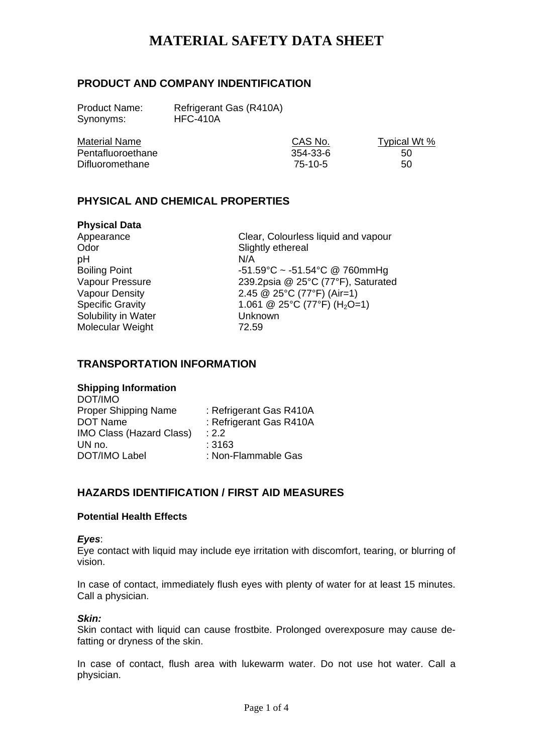# **PRODUCT AND COMPANY INDENTIFICATION**

Synonyms: HFC-410A

Product Name: Refrigerant Gas (R410A)

| <b>Material Name</b> | CAS No.  | Typical Wt % |
|----------------------|----------|--------------|
| Pentafluoroethane    | 354-33-6 | 50           |
| Difluoromethane      | 75-10-5  | 50           |

# **PHYSICAL AND CHEMICAL PROPERTIES**

| <b>Physical Data</b>    |         |
|-------------------------|---------|
| Appearance              | Clea    |
| Odor                    | Sligh   |
| рH                      | N/A     |
| <b>Boiling Point</b>    | $-51.5$ |
| Vapour Pressure         | 239.    |
| <b>Vapour Density</b>   | 2.45    |
| <b>Specific Gravity</b> | 1.06    |
| Solubility in Water     | Unki    |
| Molecular Weight        | 72.5    |
|                         |         |

Clear, Colourless liquid and vapour Slightly ethereal  $-51.59^{\circ}$ C ~  $-51.54^{\circ}$ C @ 760mmHg 239.2psia @ 25 $°C$  (77 $\textdegree$ F), Saturated 2.45 @ 25°C (77°F) (Air=1) 1.061 @ 25°C (77°F) (H<sub>2</sub>O=1) Unknown 72.59

# **TRANSPORTATION INFORMATION**

## **Shipping Information**

| : Refrigerant Gas R410A |
|-------------------------|
| : Refrigerant Gas R410A |
| .22                     |
| :3163                   |
| : Non-Flammable Gas     |
|                         |

# **HAZARDS IDENTIFICATION / FIRST AID MEASURES**

## **Potential Health Effects**

#### *Eyes*:

Eye contact with liquid may include eye irritation with discomfort, tearing, or blurring of vision.

In case of contact, immediately flush eyes with plenty of water for at least 15 minutes. Call a physician.

#### *Skin:*

Skin contact with liquid can cause frostbite. Prolonged overexposure may cause defatting or dryness of the skin.

In case of contact, flush area with lukewarm water. Do not use hot water. Call a physician.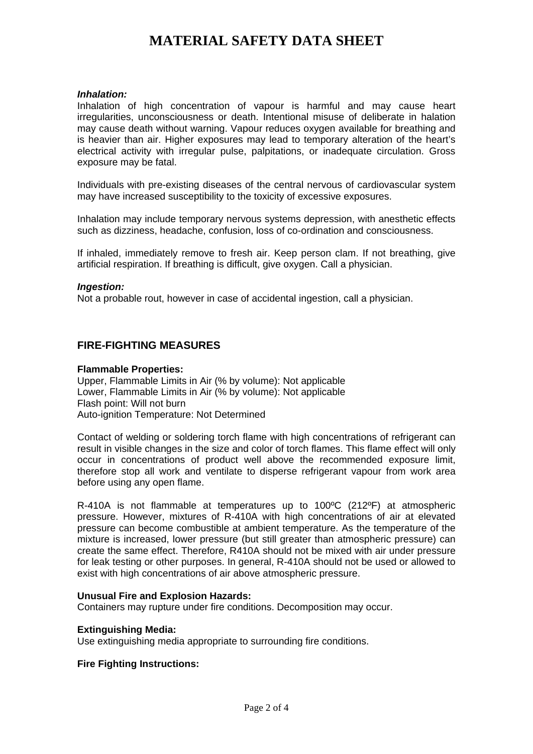#### *Inhalation:*

Inhalation of high concentration of vapour is harmful and may cause heart irregularities, unconsciousness or death. Intentional misuse of deliberate in halation may cause death without warning. Vapour reduces oxygen available for breathing and is heavier than air. Higher exposures may lead to temporary alteration of the heart's electrical activity with irregular pulse, palpitations, or inadequate circulation. Gross exposure may be fatal.

Individuals with pre-existing diseases of the central nervous of cardiovascular system may have increased susceptibility to the toxicity of excessive exposures.

Inhalation may include temporary nervous systems depression, with anesthetic effects such as dizziness, headache, confusion, loss of co-ordination and consciousness.

If inhaled, immediately remove to fresh air. Keep person clam. If not breathing, give artificial respiration. If breathing is difficult, give oxygen. Call a physician.

#### *Ingestion:*

Not a probable rout, however in case of accidental ingestion, call a physician.

## **FIRE-FIGHTING MEASURES**

#### **Flammable Properties:**

Upper, Flammable Limits in Air (% by volume): Not applicable Lower, Flammable Limits in Air (% by volume): Not applicable Flash point: Will not burn Auto-ignition Temperature: Not Determined

Contact of welding or soldering torch flame with high concentrations of refrigerant can result in visible changes in the size and color of torch flames. This flame effect will only occur in concentrations of product well above the recommended exposure limit, therefore stop all work and ventilate to disperse refrigerant vapour from work area before using any open flame.

R-410A is not flammable at temperatures up to 100ºC (212ºF) at atmospheric pressure. However, mixtures of R-410A with high concentrations of air at elevated pressure can become combustible at ambient temperature. As the temperature of the mixture is increased, lower pressure (but still greater than atmospheric pressure) can create the same effect. Therefore, R410A should not be mixed with air under pressure for leak testing or other purposes. In general, R-410A should not be used or allowed to exist with high concentrations of air above atmospheric pressure.

#### **Unusual Fire and Explosion Hazards:**

Containers may rupture under fire conditions. Decomposition may occur.

#### **Extinguishing Media:**

Use extinguishing media appropriate to surrounding fire conditions.

#### **Fire Fighting Instructions:**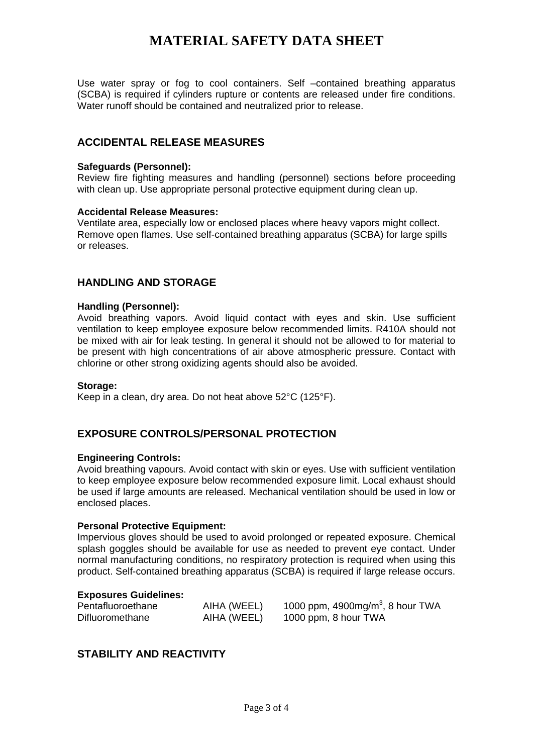Use water spray or fog to cool containers. Self –contained breathing apparatus (SCBA) is required if cylinders rupture or contents are released under fire conditions. Water runoff should be contained and neutralized prior to release.

## **ACCIDENTAL RELEASE MEASURES**

### **Safeguards (Personnel):**

Review fire fighting measures and handling (personnel) sections before proceeding with clean up. Use appropriate personal protective equipment during clean up.

#### **Accidental Release Measures:**

Ventilate area, especially low or enclosed places where heavy vapors might collect. Remove open flames. Use self-contained breathing apparatus (SCBA) for large spills or releases.

## **HANDLING AND STORAGE**

#### **Handling (Personnel):**

Avoid breathing vapors. Avoid liquid contact with eyes and skin. Use sufficient ventilation to keep employee exposure below recommended limits. R410A should not be mixed with air for leak testing. In general it should not be allowed to for material to be present with high concentrations of air above atmospheric pressure. Contact with chlorine or other strong oxidizing agents should also be avoided.

#### **Storage:**

Keep in a clean, dry area. Do not heat above 52°C (125°F).

## **EXPOSURE CONTROLS/PERSONAL PROTECTION**

## **Engineering Controls:**

Avoid breathing vapours. Avoid contact with skin or eyes. Use with sufficient ventilation to keep employee exposure below recommended exposure limit. Local exhaust should be used if large amounts are released. Mechanical ventilation should be used in low or enclosed places.

## **Personal Protective Equipment:**

Impervious gloves should be used to avoid prolonged or repeated exposure. Chemical splash goggles should be available for use as needed to prevent eye contact. Under normal manufacturing conditions, no respiratory protection is required when using this product. Self-contained breathing apparatus (SCBA) is required if large release occurs.

#### **Exposures Guidelines:**

| Pentafluoroethane | AIHA (WEEL) | 1000 ppm, 4900mg/m <sup>3</sup> , 8 hour TWA |
|-------------------|-------------|----------------------------------------------|
| Difluoromethane   | AIHA (WEEL) | 1000 ppm, 8 hour TWA                         |

## **STABILITY AND REACTIVITY**